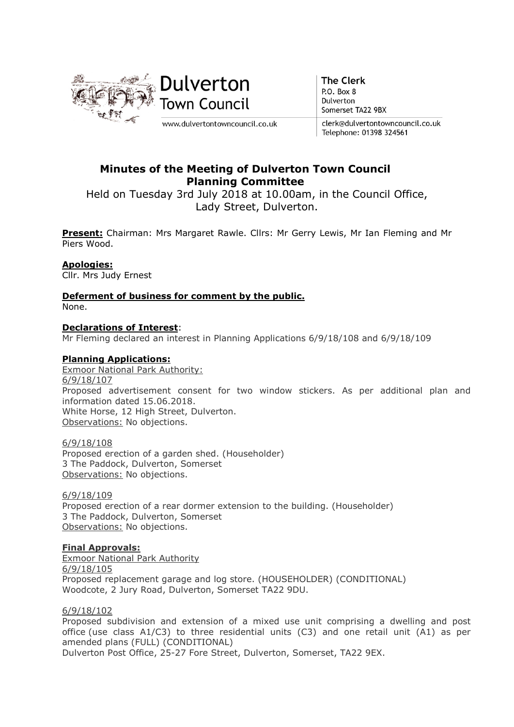

**The Clerk** P.O. Box 8 Dulverton Somerset TA22 9BX

clerk@dulvertontowncouncil.co.uk Telephone: 01398 324561

# Minutes of the Meeting of Dulverton Town Council Planning Committee

Held on Tuesday 3rd July 2018 at 10.00am, in the Council Office, Lady Street, Dulverton.

Present: Chairman: Mrs Margaret Rawle. Cllrs: Mr Gerry Lewis, Mr Ian Fleming and Mr Piers Wood.

## Apologies:

Cllr. Mrs Judy Ernest

#### Deferment of business for comment by the public. None.

#### Declarations of Interest:

Mr Fleming declared an interest in Planning Applications 6/9/18/108 and 6/9/18/109

## Planning Applications:

Exmoor National Park Authority: 6/9/18/107 Proposed advertisement consent for two window stickers. As per additional plan and information dated 15.06.2018. White Horse, 12 High Street, Dulverton. Observations: No objections.

6/9/18/108 Proposed erection of a garden shed. (Householder) 3 The Paddock, Dulverton, Somerset Observations: No objections.

6/9/18/109 Proposed erection of a rear dormer extension to the building. (Householder) 3 The Paddock, Dulverton, Somerset Observations: No objections.

#### Final Approvals:

Exmoor National Park Authority 6/9/18/105 Proposed replacement garage and log store. (HOUSEHOLDER) (CONDITIONAL) Woodcote, 2 Jury Road, Dulverton, Somerset TA22 9DU.

#### 6/9/18/102

Proposed subdivision and extension of a mixed use unit comprising a dwelling and post office (use class A1/C3) to three residential units (C3) and one retail unit (A1) as per amended plans (FULL) (CONDITIONAL)

Dulverton Post Office, 25-27 Fore Street, Dulverton, Somerset, TA22 9EX.